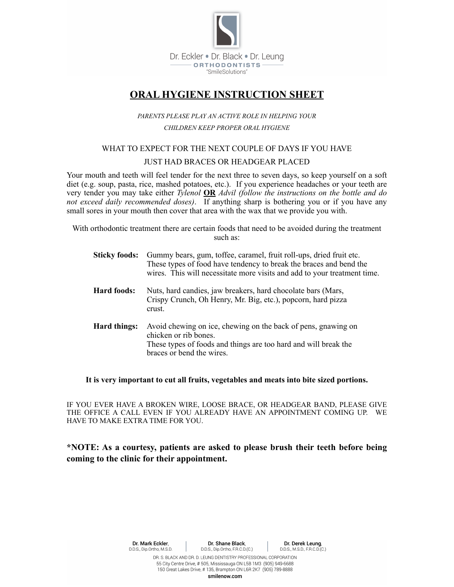

# **ORAL HYGIENE INSTRUCTION SHEET**

# *PARENTS PLEASE PLAY AN ACTIVE ROLE IN HELPING YOUR CHILDREN KEEP PROPER ORAL HYGIENE*

### WHAT TO EXPECT FOR THE NEXT COUPLE OF DAYS IF YOU HAVE

#### JUST HAD BRACES OR HEADGEAR PLACED

Your mouth and teeth will feel tender for the next three to seven days, so keep yourself on a soft diet (e.g. soup, pasta, rice, mashed potatoes, etc.). If you experience headaches or your teeth are very tender you may take either *Tylenol* **OR** *Advil (follow the instructions on the bottle and do not exceed daily recommended doses)*. If anything sharp is bothering you or if you have any small sores in your mouth then cover that area with the wax that we provide you with.

With orthodontic treatment there are certain foods that need to be avoided during the treatment such as:

|              | <b>Sticky foods:</b> Gummy bears, gum, toffee, caramel, fruit roll-ups, dried fruit etc.<br>These types of food have tendency to break the braces and bend the<br>wires. This will necessitate more visits and add to your treatment time. |
|--------------|--------------------------------------------------------------------------------------------------------------------------------------------------------------------------------------------------------------------------------------------|
| Hard foods:  | Nuts, hard candies, jaw breakers, hard chocolate bars (Mars,<br>Crispy Crunch, Oh Henry, Mr. Big, etc.), popcorn, hard pizza<br>crust.                                                                                                     |
| Hard things: | Avoid chewing on ice, chewing on the back of pens, gnawing on<br>chicken or rib bones.<br>These types of foods and things are too hard and will break the<br>braces or bend the wires.                                                     |

#### **It is very important to cut all fruits, vegetables and meats into bite sized portions.**

IF YOU EVER HAVE A BROKEN WIRE, LOOSE BRACE, OR HEADGEAR BAND, PLEASE GIVE THE OFFICE A CALL EVEN IF YOU ALREADY HAVE AN APPOINTMENT COMING UP. WE HAVE TO MAKE EXTRA TIME FOR YOU.

# **\*NOTE: As a courtesy, patients are asked to please brush their teeth before being coming to the clinic for their appointment.**

150 Great Lakes Drive, # 135, Brampton ON L6R 2K7 (905) 789-8888 smilenow.com